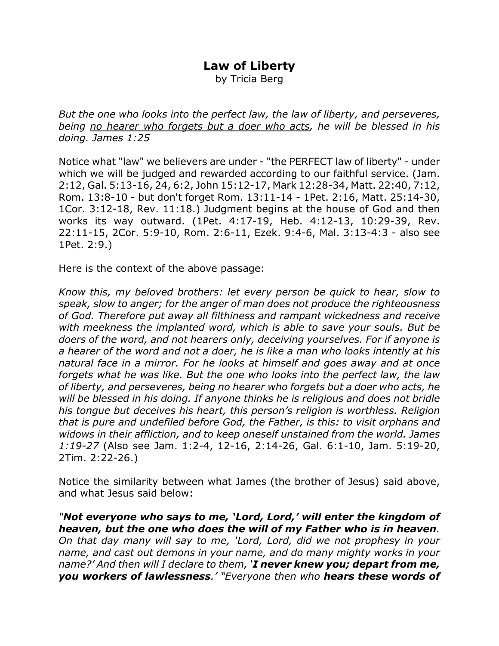## **Law of Liberty**

by Tricia Berg

*But the one who looks into the perfect law, the law of liberty, and perseveres, being no hearer who forgets but a doer who acts, he will be blessed in his doing. James 1:25*

Notice what "law" we believers are under - "the PERFECT law of liberty" - under which we will be judged and rewarded according to our faithful service. (Jam. 2:12, Gal. 5:13-16, 24, 6:2, John 15:12-17, Mark 12:28-34, Matt. 22:40, 7:12, Rom. 13:8-10 - but don't forget Rom. 13:11-14 - 1Pet. 2:16, Matt. 25:14-30, 1Cor. 3:12-18, Rev. 11:18.) Judgment begins at the house of God and then works its way outward. (1Pet. 4:17-19, Heb. 4:12-13, 10:29-39, Rev. 22:11-15, 2Cor. 5:9-10, Rom. 2:6-11, Ezek. 9:4-6, Mal. 3:13-4:3 - also see 1Pet. 2:9.)

Here is the context of the above passage:

*Know this, my beloved brothers: let every person be quick to hear, slow to speak, slow to anger; for the anger of man does not produce the righteousness of God. Therefore put away all filthiness and rampant wickedness and receive with meekness the implanted word, which is able to save your souls. But be doers of the word, and not hearers only, deceiving yourselves. For if anyone is a hearer of the word and not a doer, he is like a man who looks intently at his natural face in a mirror. For he looks at himself and goes away and at once forgets what he was like. But the one who looks into the perfect law, the law of liberty, and perseveres, being no hearer who forgets but a doer who acts, he will be blessed in his doing. If anyone thinks he is religious and does not bridle his tongue but deceives his heart, this person's religion is worthless. Religion that is pure and undefiled before God, the Father, is this: to visit orphans and widows in their affliction, and to keep oneself unstained from the world. James 1:19-27* (Also see Jam. 1:2-4, 12-16, 2:14-26, Gal. 6:1-10, Jam. 5:19-20, 2Tim. 2:22-26.)

Notice the similarity between what James (the brother of Jesus) said above, and what Jesus said below:

*"Not everyone who says to me, 'Lord, Lord,' will enter the kingdom of heaven, but the one who does the will of my Father who is in heaven. On that day many will say to me, 'Lord, Lord, did we not prophesy in your name, and cast out demons in your name, and do many mighty works in your name?' And then will I declare to them, 'I never knew you; depart from me, you workers of lawlessness.' "Everyone then who hears these words of*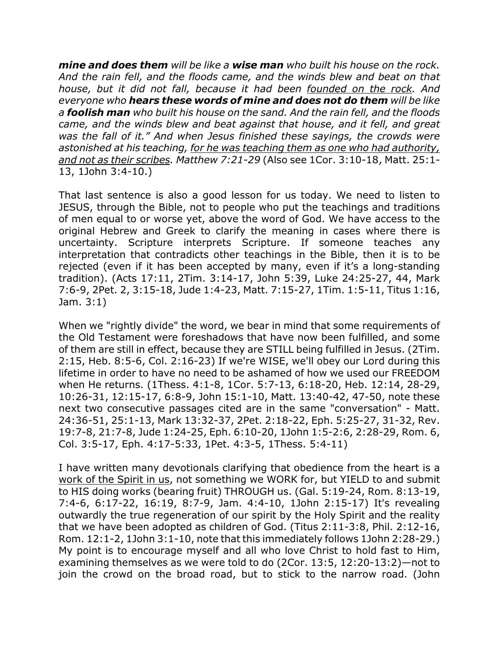*mine and does them will be like a wise man who built his house on the rock. And the rain fell, and the floods came, and the winds blew and beat on that house, but it did not fall, because it had been founded on the rock. And everyone who hears these words of mine and does not do them will be like a foolish man who built his house on the sand. And the rain fell, and the floods came, and the winds blew and beat against that house, and it fell, and great was the fall of it." And when Jesus finished these sayings, the crowds were astonished at his teaching, for he was teaching them as one who had authority, and not as their scribes. Matthew 7:21-29* (Also see 1Cor. 3:10-18, Matt. 25:1- 13, 1John 3:4-10.)

That last sentence is also a good lesson for us today. We need to listen to JESUS, through the Bible, not to people who put the teachings and traditions of men equal to or worse yet, above the word of God. We have access to the original Hebrew and Greek to clarify the meaning in cases where there is uncertainty. Scripture interprets Scripture. If someone teaches any interpretation that contradicts other teachings in the Bible, then it is to be rejected (even if it has been accepted by many, even if it's a long-standing tradition). (Acts 17:11, 2Tim. 3:14-17, John 5:39, Luke 24:25-27, 44, Mark 7:6-9, 2Pet. 2, 3:15-18, Jude 1:4-23, Matt. 7:15-27, 1Tim. 1:5-11, Titus 1:16, Jam. 3:1)

When we "rightly divide" the word, we bear in mind that some requirements of the Old Testament were foreshadows that have now been fulfilled, and some of them are still in effect, because they are STILL being fulfilled in Jesus. (2Tim. 2:15, Heb. 8:5-6, Col. 2:16-23) If we're WISE, we'll obey our Lord during this lifetime in order to have no need to be ashamed of how we used our FREEDOM when He returns. (1Thess. 4:1-8, 1Cor. 5:7-13, 6:18-20, Heb. 12:14, 28-29, 10:26-31, 12:15-17, 6:8-9, John 15:1-10, Matt. 13:40-42, 47-50, note these next two consecutive passages cited are in the same "conversation" - Matt. 24:36-51, 25:1-13, Mark 13:32-37, 2Pet. 2:18-22, Eph. 5:25-27, 31-32, Rev. 19:7-8, 21:7-8, Jude 1:24-25, Eph. 6:10-20, 1John 1:5-2:6, 2:28-29, Rom. 6, Col. 3:5-17, Eph. 4:17-5:33, 1Pet. 4:3-5, 1Thess. 5:4-11)

I have written many devotionals clarifying that obedience from the heart is a work of the Spirit in us, not something we WORK for, but YIELD to and submit to HIS doing works (bearing fruit) THROUGH us. (Gal. 5:19-24, Rom. 8:13-19, 7:4-6, 6:17-22, 16:19, 8:7-9, Jam. 4:4-10, 1John 2:15-17) It's revealing outwardly the true regeneration of our spirit by the Holy Spirit and the reality that we have been adopted as children of God. (Titus 2:11-3:8, Phil. 2:12-16, Rom. 12:1-2, 1John 3:1-10, note that this immediately follows 1John 2:28-29.) My point is to encourage myself and all who love Christ to hold fast to Him, examining themselves as we were told to do (2Cor. 13:5, 12:20-13:2)—not to join the crowd on the broad road, but to stick to the narrow road. (John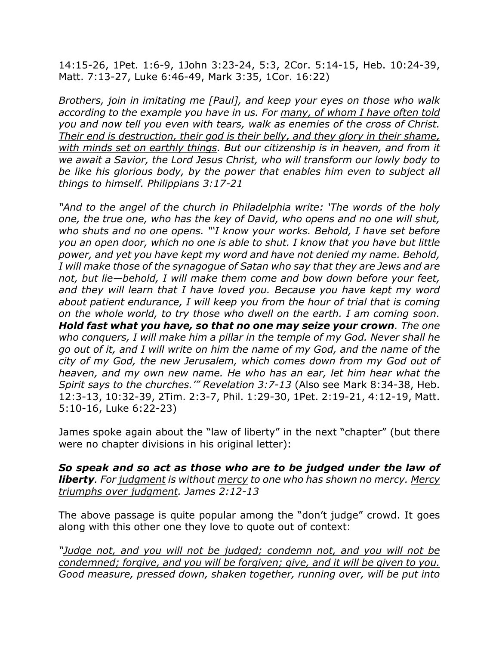14:15-26, 1Pet. 1:6-9, 1John 3:23-24, 5:3, 2Cor. 5:14-15, Heb. 10:24-39, Matt. 7:13-27, Luke 6:46-49, Mark 3:35, 1Cor. 16:22)

*Brothers, join in imitating me [Paul], and keep your eyes on those who walk according to the example you have in us. For many, of whom I have often told you and now tell you even with tears, walk as enemies of the cross of Christ. Their end is destruction, their god is their belly, and they glory in their shame, with minds set on earthly things. But our citizenship is in heaven, and from it we await a Savior, the Lord Jesus Christ, who will transform our lowly body to be like his glorious body, by the power that enables him even to subject all things to himself. Philippians 3:17-21*

*"And to the angel of the church in Philadelphia write: 'The words of the holy one, the true one, who has the key of David, who opens and no one will shut, who shuts and no one opens. "'I know your works. Behold, I have set before you an open door, which no one is able to shut. I know that you have but little power, and yet you have kept my word and have not denied my name. Behold, I will make those of the synagogue of Satan who say that they are Jews and are not, but lie—behold, I will make them come and bow down before your feet, and they will learn that I have loved you. Because you have kept my word about patient endurance, I will keep you from the hour of trial that is coming on the whole world, to try those who dwell on the earth. I am coming soon. Hold fast what you have, so that no one may seize your crown. The one who conquers, I will make him a pillar in the temple of my God. Never shall he go out of it, and I will write on him the name of my God, and the name of the city of my God, the new Jerusalem, which comes down from my God out of heaven, and my own new name. He who has an ear, let him hear what the Spirit says to the churches.'" Revelation 3:7-13* (Also see Mark 8:34-38, Heb. 12:3-13, 10:32-39, 2Tim. 2:3-7, Phil. 1:29-30, 1Pet. 2:19-21, 4:12-19, Matt. 5:10-16, Luke 6:22-23)

James spoke again about the "law of liberty" in the next "chapter" (but there were no chapter divisions in his original letter):

*So speak and so act as those who are to be judged under the law of liberty. For judgment is without mercy to one who has shown no mercy. Mercy triumphs over judgment. James 2:12-13*

The above passage is quite popular among the "don't judge" crowd. It goes along with this other one they love to quote out of context:

*"Judge not, and you will not be judged; condemn not, and you will not be condemned; forgive, and you will be forgiven; give, and it will be given to you. Good measure, pressed down, shaken together, running over, will be put into*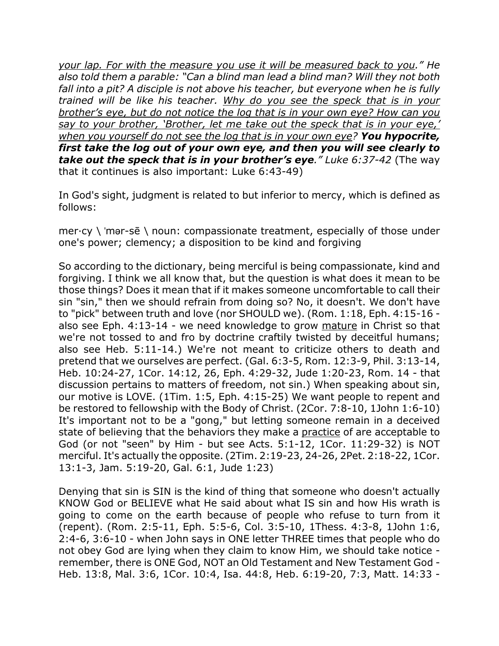*your lap. For with the measure you use it will be measured back to you." He also told them a parable: "Can a blind man lead a blind man? Will they not both fall into a pit? A disciple is not above his teacher, but everyone when he is fully trained will be like his teacher. Why do you see the speck that is in your brother's eye, but do not notice the log that is in your own eye? How can you say to your brother, 'Brother, let me take out the speck that is in your eye,' when you yourself do not see the log that is in your own eye? You hypocrite, first take the log out of your own eye, and then you will see clearly to take out the speck that is in your brother's eye." Luke 6:37-42* (The way that it continues is also important: Luke 6:43-49)

In God's sight, judgment is related to but inferior to mercy, which is defined as follows:

 $mer-cy \mid 'mer-s\bar{e} \mid noun: compassionate treatment, especially of those under$ one's power; clemency; a disposition to be kind and forgiving

So according to the dictionary, being merciful is being compassionate, kind and forgiving. I think we all know that, but the question is what does it mean to be those things? Does it mean that if it makes someone uncomfortable to call their sin "sin," then we should refrain from doing so? No, it doesn't. We don't have to "pick" between truth and love (nor SHOULD we). (Rom. 1:18, Eph. 4:15-16 also see Eph. 4:13-14 - we need knowledge to grow mature in Christ so that we're not tossed to and fro by doctrine craftily twisted by deceitful humans; also see Heb. 5:11-14.) We're not meant to criticize others to death and pretend that we ourselves are perfect. (Gal. 6:3-5, Rom. 12:3-9, Phil. 3:13-14, Heb. 10:24-27, 1Cor. 14:12, 26, Eph. 4:29-32, Jude 1:20-23, Rom. 14 - that discussion pertains to matters of freedom, not sin.) When speaking about sin, our motive is LOVE. (1Tim. 1:5, Eph. 4:15-25) We want people to repent and be restored to fellowship with the Body of Christ. (2Cor. 7:8-10, 1John 1:6-10) It's important not to be a "gong," but letting someone remain in a deceived state of believing that the behaviors they make a practice of are acceptable to God (or not "seen" by Him - but see Acts. 5:1-12, 1Cor. 11:29-32) is NOT merciful. It's actually the opposite. (2Tim. 2:19-23, 24-26, 2Pet. 2:18-22, 1Cor. 13:1-3, Jam. 5:19-20, Gal. 6:1, Jude 1:23)

Denying that sin is SIN is the kind of thing that someone who doesn't actually KNOW God or BELIEVE what He said about what IS sin and how His wrath is going to come on the earth because of people who refuse to turn from it (repent). (Rom. 2:5-11, Eph. 5:5-6, Col. 3:5-10, 1Thess. 4:3-8, 1John 1:6, 2:4-6, 3:6-10 - when John says in ONE letter THREE times that people who do not obey God are lying when they claim to know Him, we should take notice remember, there is ONE God, NOT an Old Testament and New Testament God - Heb. 13:8, Mal. 3:6, 1Cor. 10:4, Isa. 44:8, Heb. 6:19-20, 7:3, Matt. 14:33 -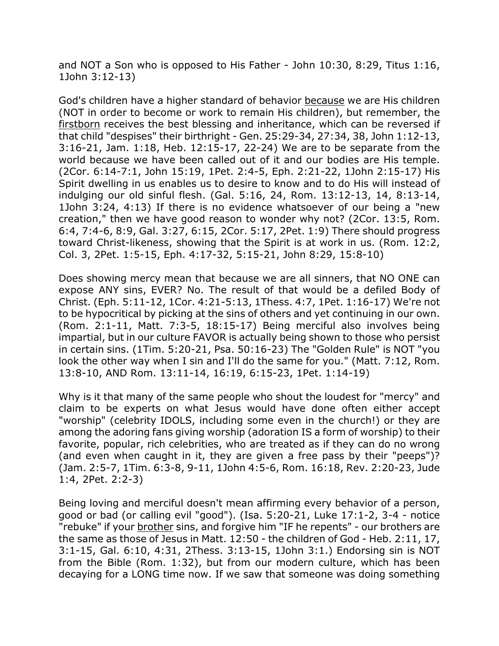and NOT a Son who is opposed to His Father - John 10:30, 8:29, Titus 1:16, 1John 3:12-13)

God's children have a higher standard of behavior because we are His children (NOT in order to become or work to remain His children), but remember, the firstborn receives the best blessing and inheritance, which can be reversed if that child "despises" their birthright - Gen. 25:29-34, 27:34, 38, John 1:12-13, 3:16-21, Jam. 1:18, Heb. 12:15-17, 22-24) We are to be separate from the world because we have been called out of it and our bodies are His temple. (2Cor. 6:14-7:1, John 15:19, 1Pet. 2:4-5, Eph. 2:21-22, 1John 2:15-17) His Spirit dwelling in us enables us to desire to know and to do His will instead of indulging our old sinful flesh. (Gal. 5:16, 24, Rom. 13:12-13, 14, 8:13-14, 1John 3:24, 4:13) If there is no evidence whatsoever of our being a "new creation," then we have good reason to wonder why not? (2Cor. 13:5, Rom. 6:4, 7:4-6, 8:9, Gal. 3:27, 6:15, 2Cor. 5:17, 2Pet. 1:9) There should progress toward Christ-likeness, showing that the Spirit is at work in us. (Rom. 12:2, Col. 3, 2Pet. 1:5-15, Eph. 4:17-32, 5:15-21, John 8:29, 15:8-10)

Does showing mercy mean that because we are all sinners, that NO ONE can expose ANY sins, EVER? No. The result of that would be a defiled Body of Christ. (Eph. 5:11-12, 1Cor. 4:21-5:13, 1Thess. 4:7, 1Pet. 1:16-17) We're not to be hypocritical by picking at the sins of others and yet continuing in our own. (Rom. 2:1-11, Matt. 7:3-5, 18:15-17) Being merciful also involves being impartial, but in our culture FAVOR is actually being shown to those who persist in certain sins. (1Tim. 5:20-21, Psa. 50:16-23) The "Golden Rule" is NOT "you look the other way when I sin and I'll do the same for you." (Matt. 7:12, Rom. 13:8-10, AND Rom. 13:11-14, 16:19, 6:15-23, 1Pet. 1:14-19)

Why is it that many of the same people who shout the loudest for "mercy" and claim to be experts on what Jesus would have done often either accept "worship" (celebrity IDOLS, including some even in the church!) or they are among the adoring fans giving worship (adoration IS a form of worship) to their favorite, popular, rich celebrities, who are treated as if they can do no wrong (and even when caught in it, they are given a free pass by their "peeps")? (Jam. 2:5-7, 1Tim. 6:3-8, 9-11, 1John 4:5-6, Rom. 16:18, Rev. 2:20-23, Jude 1:4, 2Pet. 2:2-3)

Being loving and merciful doesn't mean affirming every behavior of a person, good or bad (or calling evil "good"). (Isa. 5:20-21, Luke 17:1-2, 3-4 - notice "rebuke" if your brother sins, and forgive him "IF he repents" - our brothers are the same as those of Jesus in Matt. 12:50 - the children of God - Heb. 2:11, 17, 3:1-15, Gal. 6:10, 4:31, 2Thess. 3:13-15, 1John 3:1.) Endorsing sin is NOT from the Bible (Rom. 1:32), but from our modern culture, which has been decaying for a LONG time now. If we saw that someone was doing something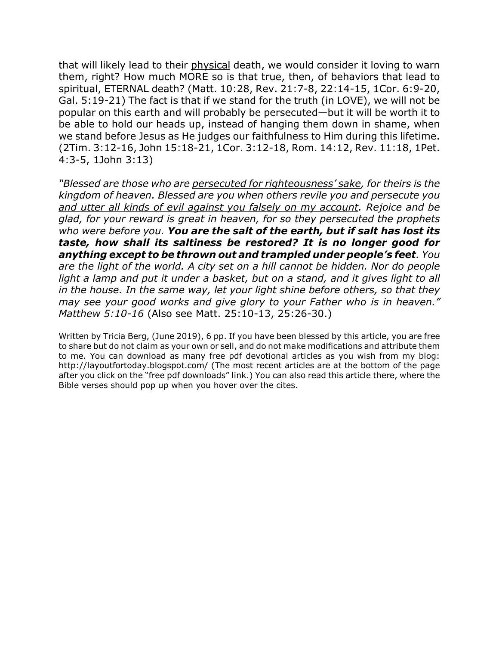that will likely lead to their physical death, we would consider it loving to warn them, right? How much MORE so is that true, then, of behaviors that lead to spiritual, ETERNAL death? (Matt. 10:28, Rev. 21:7-8, 22:14-15, 1Cor. 6:9-20, Gal. 5:19-21) The fact is that if we stand for the truth (in LOVE), we will not be popular on this earth and will probably be persecuted—but it will be worth it to be able to hold our heads up, instead of hanging them down in shame, when we stand before Jesus as He judges our faithfulness to Him during this lifetime. (2Tim. 3:12-16, John 15:18-21, 1Cor. 3:12-18, Rom. 14:12, Rev. 11:18, 1Pet. 4:3-5, 1John 3:13)

*"Blessed are those who are persecuted for righteousness' sake, for theirs is the kingdom of heaven. Blessed are you when others revile you and persecute you and utter all kinds of evil against you falsely on my account. Rejoice and be glad, for your reward is great in heaven, for so they persecuted the prophets who were before you. You are the salt of the earth, but if salt has lost its taste, how shall its saltiness be restored? It is no longer good for anything except to be thrown out and trampled under people's feet. You are the light of the world. A city set on a hill cannot be hidden. Nor do people light a lamp and put it under a basket, but on a stand, and it gives light to all in the house. In the same way, let your light shine before others, so that they may see your good works and give glory to your Father who is in heaven." Matthew 5:10-16* (Also see Matt. 25:10-13, 25:26-30.)

Written by Tricia Berg, (June 2019), 6 pp. If you have been blessed by this article, you are free to share but do not claim as your own or sell, and do not make modifications and attribute them to me. You can download as many free pdf devotional articles as you wish from my blog: http://layoutfortoday.blogspot.com/ (The most recent articles are at the bottom of the page after you click on the "free pdf downloads" link.) You can also read this article there, where the Bible verses should pop up when you hover over the cites.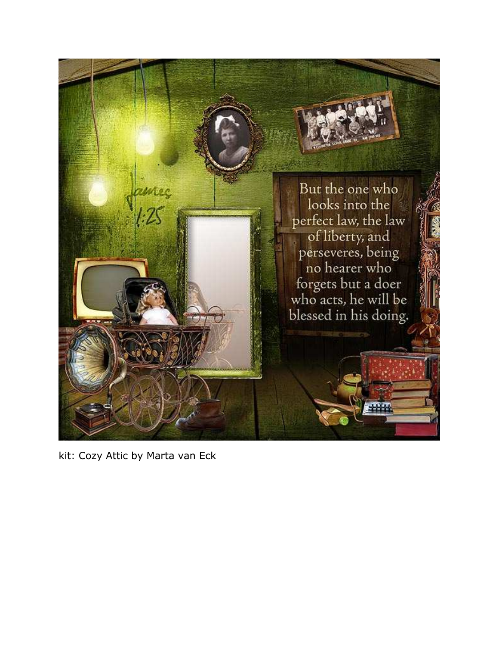

kit: Cozy Attic by Marta van Eck